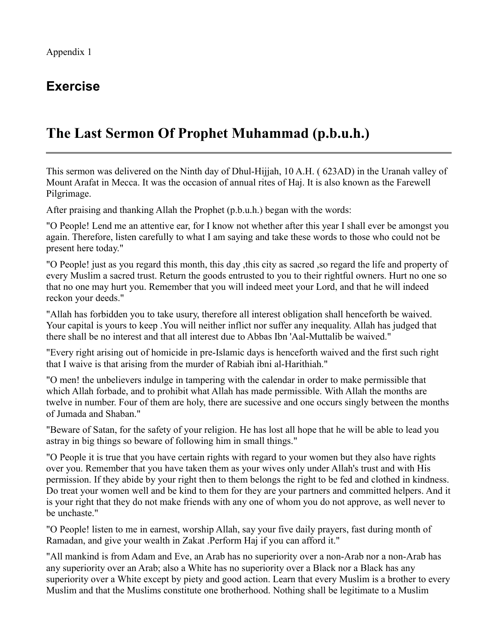## **Exercise**

## **The Last Sermon Of Prophet Muhammad (p.b.u.h.)**

This sermon was delivered on the Ninth day of Dhul-Hijjah, 10 A.H. ( 623AD) in the Uranah valley of Mount Arafat in Mecca. It was the occasion of annual rites of Haj. It is also known as the Farewell Pilgrimage.

After praising and thanking Allah the Prophet (p.b.u.h.) began with the words:

"O People! Lend me an attentive ear, for I know not whether after this year I shall ever be amongst you again. Therefore, listen carefully to what I am saying and take these words to those who could not be present here today."

"O People! just as you regard this month, this day ,this city as sacred ,so regard the life and property of every Muslim a sacred trust. Return the goods entrusted to you to their rightful owners. Hurt no one so that no one may hurt you. Remember that you will indeed meet your Lord, and that he will indeed reckon your deeds."

"Allah has forbidden you to take usury, therefore all interest obligation shall henceforth be waived. Your capital is yours to keep .You will neither inflict nor suffer any inequality. Allah has judged that there shall be no interest and that all interest due to Abbas Ibn 'Aal-Muttalib be waived."

"Every right arising out of homicide in pre-Islamic days is henceforth waived and the first such right that I waive is that arising from the murder of Rabiah ibni al-Harithiah."

"O men! the unbelievers indulge in tampering with the calendar in order to make permissible that which Allah forbade, and to prohibit what Allah has made permissible. With Allah the months are twelve in number. Four of them are holy, there are sucessive and one occurs singly between the months of Jumada and Shaban."

"Beware of Satan, for the safety of your religion. He has lost all hope that he will be able to lead you astray in big things so beware of following him in small things."

"O People it is true that you have certain rights with regard to your women but they also have rights over you. Remember that you have taken them as your wives only under Allah's trust and with His permission. If they abide by your right then to them belongs the right to be fed and clothed in kindness. Do treat your women well and be kind to them for they are your partners and committed helpers. And it is your right that they do not make friends with any one of whom you do not approve, as well never to be unchaste."

"O People! listen to me in earnest, worship Allah, say your five daily prayers, fast during month of Ramadan, and give your wealth in Zakat .Perform Haj if you can afford it."

"All mankind is from Adam and Eve, an Arab has no superiority over a non-Arab nor a non-Arab has any superiority over an Arab; also a White has no superiority over a Black nor a Black has any superiority over a White except by piety and good action. Learn that every Muslim is a brother to every Muslim and that the Muslims constitute one brotherhood. Nothing shall be legitimate to a Muslim